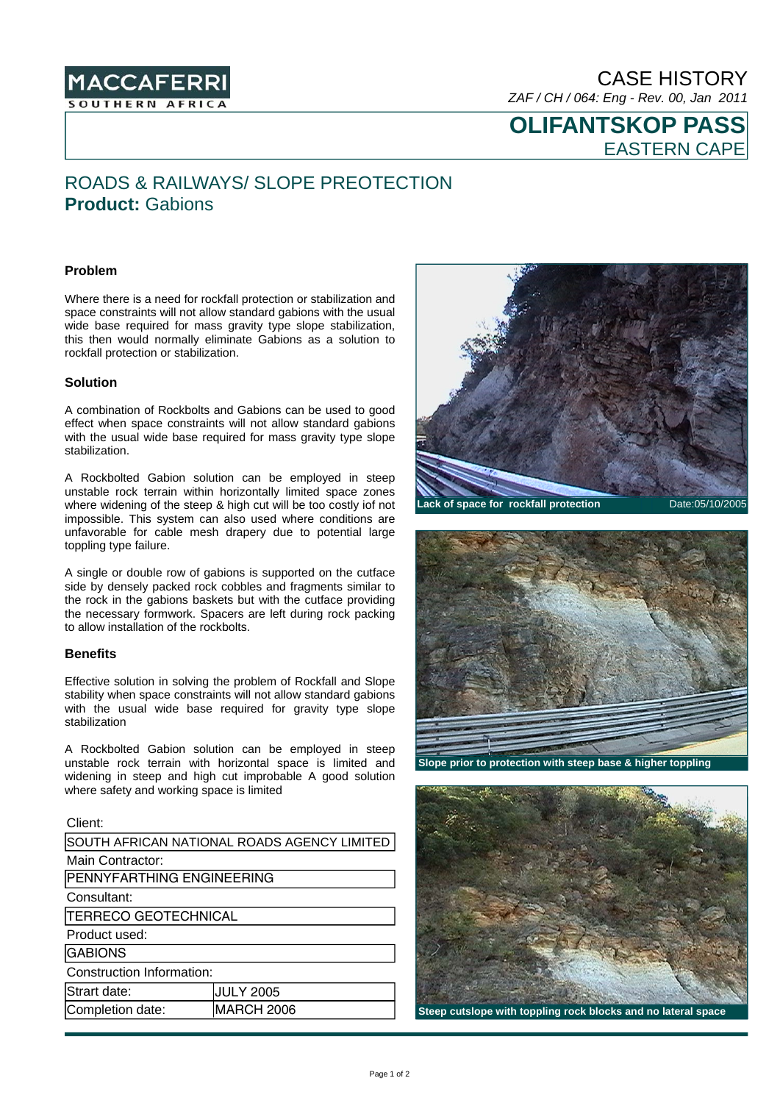

CASE HISTORY *ZAF / CH / 064: Eng - Rev. 00, Jan 2011* 

**OLIFANTSKOP PASS**  EASTERN CAPE

# ROADS & RAILWAYS/ SLOPE PREOTECTION **Product:** Gabions

### **Problem**

Where there is a need for rockfall protection or stabilization and space constraints will not allow standard gabions with the usual wide base required for mass gravity type slope stabilization, this then would normally eliminate Gabions as a solution to rockfall protection or stabilization.

#### **Solution**

A combination of Rockbolts and Gabions can be used to good effect when space constraints will not allow standard gabions with the usual wide base required for mass gravity type slope stabilization.

A Rockbolted Gabion solution can be employed in steep unstable rock terrain within horizontally limited space zones where widening of the steep & high cut will be too costly iof not impossible. This system can also used where conditions are unfavorable for cable mesh drapery due to potential large toppling type failure.

A single or double row of gabions is supported on the cutface side by densely packed rock cobbles and fragments similar to the rock in the gabions baskets but with the cutface providing the necessary formwork. Spacers are left during rock packing to allow installation of the rockbolts.

## **Benefits**

Effective solution in solving the problem of Rockfall and Slope stability when space constraints will not allow standard gabions with the usual wide base required for gravity type slope stabilization

A Rockbolted Gabion solution can be employed in steep unstable rock terrain with horizontal space is limited and widening in steep and high cut improbable A good solution where safety and working space is limited

| Client:                                     |                   |
|---------------------------------------------|-------------------|
| SOUTH AFRICAN NATIONAL ROADS AGENCY LIMITED |                   |
| Main Contractor:                            |                   |
| PENNYFARTHING ENGINEERING                   |                   |
| Consultant:                                 |                   |
| TERRECO GEOTECHNICAL                        |                   |
| Product used:                               |                   |
| <b>GABIONS</b>                              |                   |
| Construction Information:                   |                   |
| Strart date:                                | <b>JULY 2005</b>  |
| Completion date:                            | <b>MARCH 2006</b> |
|                                             |                   |



**Lack of space for rockfall protection** Date:05/10/2005



**Slope prior to protection with steep base & higher toppling**